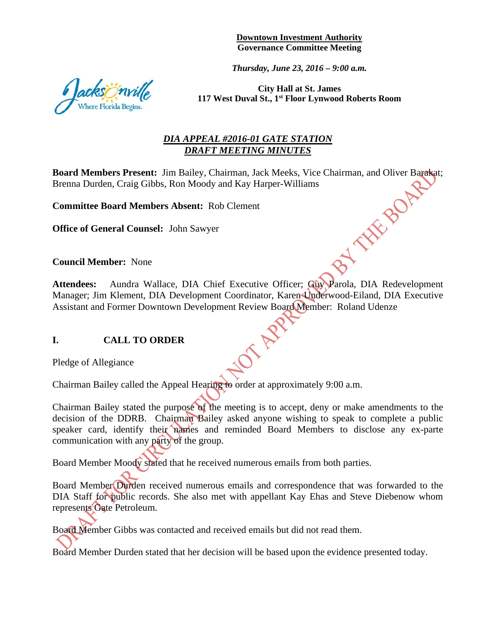**Downtown Investment Authority Governance Committee Meeting** 

*Thursday, June 23, 2016 – 9:00 a.m.* 



**City Hall at St. James 117 West Duval St., 1st Floor Lynwood Roberts Room** 

## *DIA APPEAL #2016-01 GATE STATION DRAFT MEETING MINUTES*

**Board Members Present:** Jim Bailey, Chairman, Jack Meeks, Vice Chairman, and Oliver Barakat;<br>Brenna Durden, Craig Gibbs, Ron Moody and Kay Harper-Williams<br>**Committee Board Members Absent:** Rob Clement<br>**Office of General C** Brenna Durden, Craig Gibbs, Ron Moody and Kay Harper-Williams

**Committee Board Members Absent:** Rob Clement

**Office of General Counsel:** John Sawyer

**Council Member:** None

Attendees: Aundra Wallace, DIA Chief Executive Officer; Guy Parola, DIA Redevelopment Manager; Jim Klement, DIA Development Coordinator, Karen Underwood-Eiland, DIA Executive Assistant and Former Downtown Development Review Board Member: Roland Udenze

### **I. CALL TO ORDER**

Pledge of Allegiance

Chairman Bailey called the Appeal Hearing to order at approximately 9:00 a.m.

Chairman Bailey stated the purpose of the meeting is to accept, deny or make amendments to the decision of the DDRB. Chairman Bailey asked anyone wishing to speak to complete a public speaker card, identify their names and reminded Board Members to disclose any ex-parte communication with any party of the group.

Board Member Moody stated that he received numerous emails from both parties.

Board Member Durden received numerous emails and correspondence that was forwarded to the DIA Staff for public records. She also met with appellant Kay Ehas and Steve Diebenow whom represents Gate Petroleum.

Board Member Gibbs was contacted and received emails but did not read them.

Board Member Durden stated that her decision will be based upon the evidence presented today.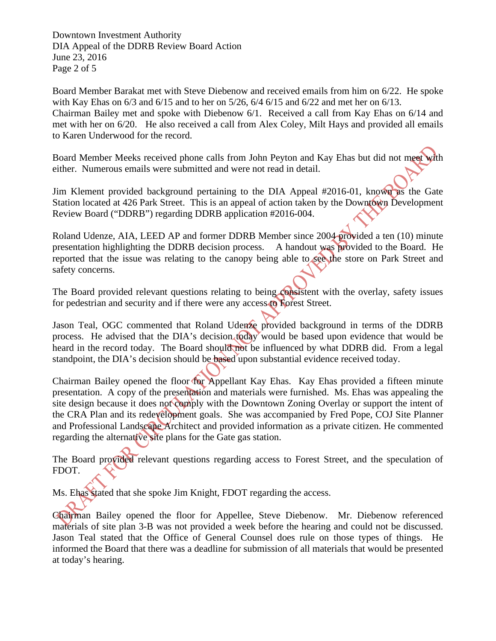Downtown Investment Authority DIA Appeal of the DDRB Review Board Action June 23, 2016 Page 2 of 5

Board Member Barakat met with Steve Diebenow and received emails from him on 6/22. He spoke with Kay Ehas on 6/3 and 6/15 and to her on 5/26, 6/4 6/15 and 6/22 and met her on 6/13. Chairman Bailey met and spoke with Diebenow 6/1. Received a call from Kay Ehas on 6/14 and met with her on 6/20. He also received a call from Alex Coley, Milt Hays and provided all emails to Karen Underwood for the record.

Board Member Meeks received phone calls from John Peyton and Kay Ehas but did not meet with either. Numerous emails were submitted and were not read in detail.

Jim Klement provided background pertaining to the DIA Appeal #2016-01, known as the Gate Station located at 426 Park Street. This is an appeal of action taken by the Downtown Development Review Board ("DDRB") regarding DDRB application #2016-004.

Roland Udenze, AIA, LEED AP and former DDRB Member since 2004 provided a ten (10) minute presentation highlighting the DDRB decision process. A handout was provided to the Board. He reported that the issue was relating to the canopy being able to see the store on Park Street and safety concerns.

The Board provided relevant questions relating to being consistent with the overlay, safety issues for pedestrian and security and if there were any access to Forest Street.

Jason Teal, OGC commented that Roland Udenze provided background in terms of the DDRB process. He advised that the DIA's decision today would be based upon evidence that would be heard in the record today. The Board should not be influenced by what DDRB did. From a legal standpoint, the DIA's decision should be based upon substantial evidence received today.

Chairman Bailey opened the floor for Appellant Kay Ehas. Kay Ehas provided a fifteen minute presentation. A copy of the presentation and materials were furnished. Ms. Ehas was appealing the site design because it does not comply with the Downtown Zoning Overlay or support the intent of the CRA Plan and its redevelopment goals. She was accompanied by Fred Pope, COJ Site Planner and Professional Landscape Architect and provided information as a private citizen. He commented regarding the alternative site plans for the Gate gas station.

The Board provided relevant questions regarding access to Forest Street, and the speculation of FDOT.

Ms. Ehas stated that she spoke Jim Knight, FDOT regarding the access.

Chairman Bailey opened the floor for Appellee, Steve Diebenow. Mr. Diebenow referenced materials of site plan 3-B was not provided a week before the hearing and could not be discussed. Jason Teal stated that the Office of General Counsel does rule on those types of things. He informed the Board that there was a deadline for submission of all materials that would be presented at today's hearing.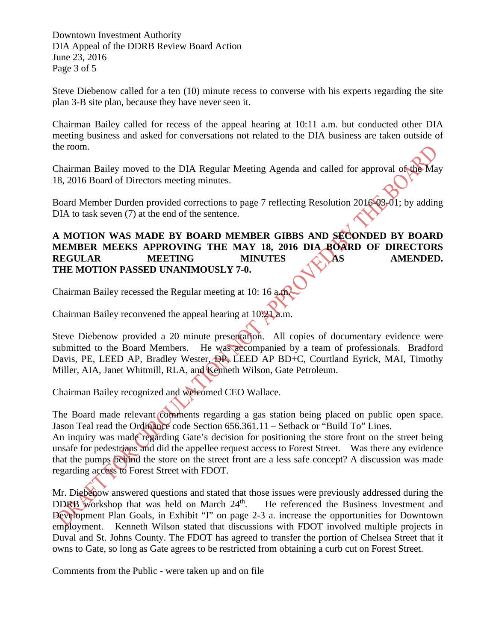Downtown Investment Authority DIA Appeal of the DDRB Review Board Action June 23, 2016 Page 3 of 5

Steve Diebenow called for a ten (10) minute recess to converse with his experts regarding the site plan 3-B site plan, because they have never seen it.

Chairman Bailey called for recess of the appeal hearing at 10:11 a.m. but conducted other DIA meeting business and asked for conversations not related to the DIA business are taken outside of the room.

Chairman Bailey moved to the DIA Regular Meeting Agenda and called for approval of the May 18, 2016 Board of Directors meeting minutes.

Board Member Durden provided corrections to page 7 reflecting Resolution 2016-03-01; by adding DIA to task seven (7) at the end of the sentence.

### **A MOTION WAS MADE BY BOARD MEMBER GIBBS AND SECONDED BY BOARD MEMBER MEEKS APPROVING THE MAY 18, 2016 DIA BOARD OF DIRECTORS REGULAR MEETING MINUTES AS AMENDED. THE MOTION PASSED UNANIMOUSLY 7-0.**

Chairman Bailey recessed the Regular meeting at 10: 16 a.m.

Chairman Bailey reconvened the appeal hearing at 10:21 a.m.

Steve Diebenow provided a 20 minute presentation. All copies of documentary evidence were submitted to the Board Members. He was accompanied by a team of professionals. Bradford Davis, PE, LEED AP, Bradley Wester, DP, LEED AP BD+C, Courtland Eyrick, MAI, Timothy Miller, AIA, Janet Whitmill, RLA, and Kenneth Wilson, Gate Petroleum.

Chairman Bailey recognized and welcomed CEO Wallace.

The Board made relevant comments regarding a gas station being placed on public open space. Jason Teal read the Ordinance code Section 656.361.11 – Setback or "Build To" Lines.

An inquiry was made regarding Gate's decision for positioning the store front on the street being unsafe for pedestrians and did the appellee request access to Forest Street. Was there any evidence that the pumps behind the store on the street front are a less safe concept? A discussion was made regarding access to Forest Street with FDOT.

Mr. Diebenow answered questions and stated that those issues were previously addressed during the DDRB workshop that was held on March  $24<sup>th</sup>$ . He referenced the Business Investment and Development Plan Goals, in Exhibit "I" on page 2-3 a. increase the opportunities for Downtown employment. Kenneth Wilson stated that discussions with FDOT involved multiple projects in Duval and St. Johns County. The FDOT has agreed to transfer the portion of Chelsea Street that it owns to Gate, so long as Gate agrees to be restricted from obtaining a curb cut on Forest Street.

Comments from the Public - were taken up and on file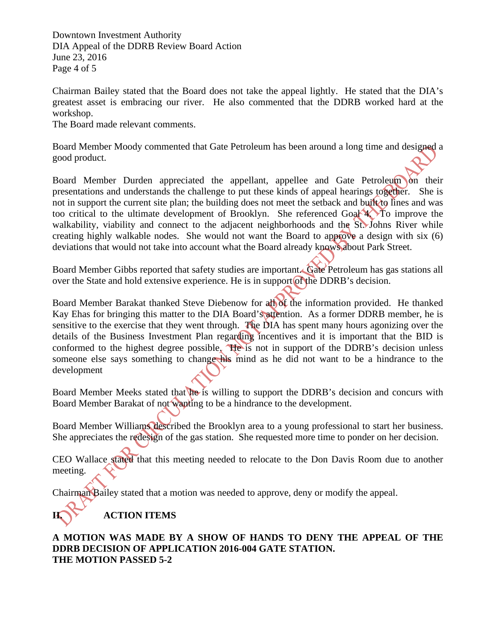Downtown Investment Authority DIA Appeal of the DDRB Review Board Action June 23, 2016 Page 4 of 5

Chairman Bailey stated that the Board does not take the appeal lightly. He stated that the DIA's greatest asset is embracing our river. He also commented that the DDRB worked hard at the workshop.

The Board made relevant comments.

Board Member Moody commented that Gate Petroleum has been around a long time and designed a good product.

Board Member Durden appreciated the appellant, appellee and Gate Petroleum on their presentations and understands the challenge to put these kinds of appeal hearings together. She is not in support the current site plan; the building does not meet the setback and built to lines and was too critical to the ultimate development of Brooklyn. She referenced Goal 4. To improve the walkability, viability and connect to the adjacent neighborhoods and the St. Johns River while creating highly walkable nodes. She would not want the Board to approve a design with six (6) deviations that would not take into account what the Board already knows about Park Street.

Board Member Gibbs reported that safety studies are important. Gate Petroleum has gas stations all over the State and hold extensive experience. He is in support of the DDRB's decision.

Board Member Barakat thanked Steve Diebenow for all of the information provided. He thanked Kay Ehas for bringing this matter to the DIA Board's attention. As a former DDRB member, he is sensitive to the exercise that they went through. The DIA has spent many hours agonizing over the details of the Business Investment Plan regarding incentives and it is important that the BID is conformed to the highest degree possible. He is not in support of the DDRB's decision unless someone else says something to change his mind as he did not want to be a hindrance to the development

Board Member Meeks stated that he is willing to support the DDRB's decision and concurs with Board Member Barakat of not wanting to be a hindrance to the development.

Board Member Williams described the Brooklyn area to a young professional to start her business. She appreciates the redesign of the gas station. She requested more time to ponder on her decision.

CEO Wallace stated that this meeting needed to relocate to the Don Davis Room due to another meeting.

Chairman Bailey stated that a motion was needed to approve, deny or modify the appeal.

# **II. ACTION ITEMS**

### **A MOTION WAS MADE BY A SHOW OF HANDS TO DENY THE APPEAL OF THE DDRB DECISION OF APPLICATION 2016-004 GATE STATION. THE MOTION PASSED 5-2**